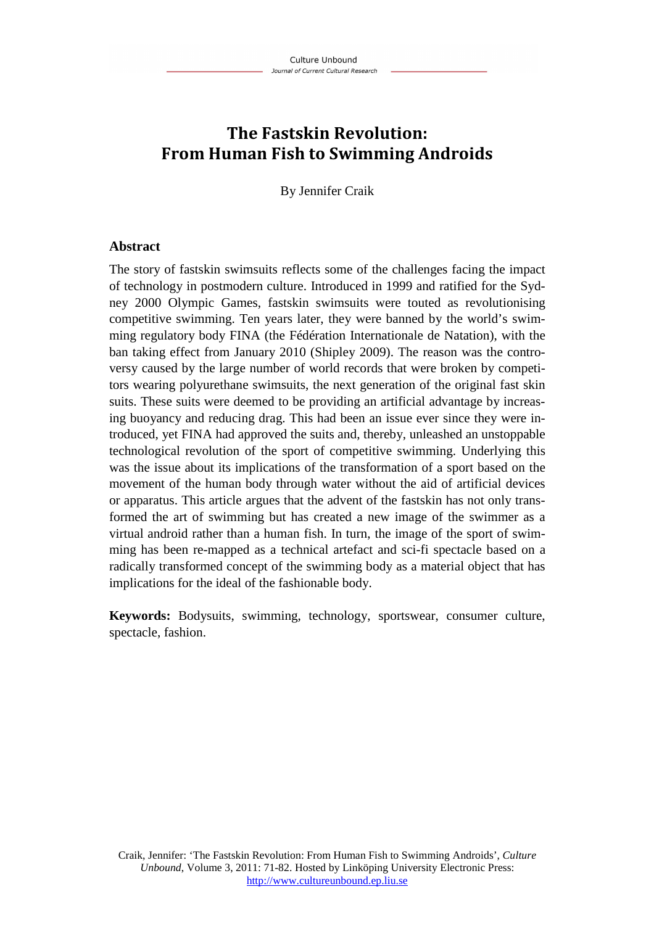# **The Fastskin Revolution: From Human Fish to Swimming Androids**

By Jennifer Craik

#### **Abstract**

The story of fastskin swimsuits reflects some of the challenges facing the impact of technology in postmodern culture. Introduced in 1999 and ratified for the Sydney 2000 Olympic Games, fastskin swimsuits were touted as revolutionising competitive swimming. Ten years later, they were banned by the world's swimming regulatory body FINA (the Fédération Internationale de Natation), with the ban taking effect from January 2010 (Shipley 2009). The reason was the controversy caused by the large number of world records that were broken by competitors wearing polyurethane swimsuits, the next generation of the original fast skin suits. These suits were deemed to be providing an artificial advantage by increasing buoyancy and reducing drag. This had been an issue ever since they were introduced, yet FINA had approved the suits and, thereby, unleashed an unstoppable technological revolution of the sport of competitive swimming. Underlying this was the issue about its implications of the transformation of a sport based on the movement of the human body through water without the aid of artificial devices or apparatus. This article argues that the advent of the fastskin has not only transformed the art of swimming but has created a new image of the swimmer as a virtual android rather than a human fish. In turn, the image of the sport of swimming has been re-mapped as a technical artefact and sci-fi spectacle based on a radically transformed concept of the swimming body as a material object that has implications for the ideal of the fashionable body.

**Keywords:** Bodysuits, swimming, technology, sportswear, consumer culture, spectacle, fashion.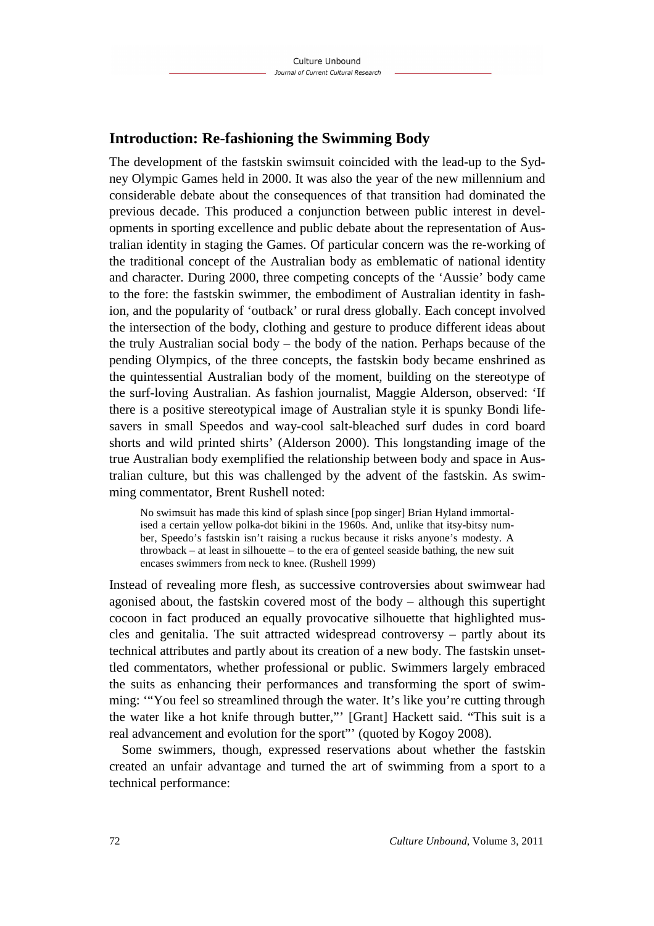## **Introduction: Re-fashioning the Swimming Body**

The development of the fastskin swimsuit coincided with the lead-up to the Sydney Olympic Games held in 2000. It was also the year of the new millennium and considerable debate about the consequences of that transition had dominated the previous decade. This produced a conjunction between public interest in developments in sporting excellence and public debate about the representation of Australian identity in staging the Games. Of particular concern was the re-working of the traditional concept of the Australian body as emblematic of national identity and character. During 2000, three competing concepts of the 'Aussie' body came to the fore: the fastskin swimmer, the embodiment of Australian identity in fashion, and the popularity of 'outback' or rural dress globally. Each concept involved the intersection of the body, clothing and gesture to produce different ideas about the truly Australian social body – the body of the nation. Perhaps because of the pending Olympics, of the three concepts, the fastskin body became enshrined as the quintessential Australian body of the moment, building on the stereotype of the surf-loving Australian. As fashion journalist, Maggie Alderson, observed: 'If there is a positive stereotypical image of Australian style it is spunky Bondi lifesavers in small Speedos and way-cool salt-bleached surf dudes in cord board shorts and wild printed shirts' (Alderson 2000). This longstanding image of the true Australian body exemplified the relationship between body and space in Australian culture, but this was challenged by the advent of the fastskin. As swimming commentator, Brent Rushell noted:

No swimsuit has made this kind of splash since [pop singer] Brian Hyland immortalised a certain yellow polka-dot bikini in the 1960s. And, unlike that itsy-bitsy number, Speedo's fastskin isn't raising a ruckus because it risks anyone's modesty. A throwback – at least in silhouette – to the era of genteel seaside bathing, the new suit encases swimmers from neck to knee. (Rushell 1999)

Instead of revealing more flesh, as successive controversies about swimwear had agonised about, the fastskin covered most of the body – although this supertight cocoon in fact produced an equally provocative silhouette that highlighted muscles and genitalia. The suit attracted widespread controversy – partly about its technical attributes and partly about its creation of a new body. The fastskin unsettled commentators, whether professional or public. Swimmers largely embraced the suits as enhancing their performances and transforming the sport of swimming: '"You feel so streamlined through the water. It's like you're cutting through the water like a hot knife through butter,"' [Grant] Hackett said. "This suit is a real advancement and evolution for the sport"' (quoted by Kogoy 2008).

Some swimmers, though, expressed reservations about whether the fastskin created an unfair advantage and turned the art of swimming from a sport to a technical performance: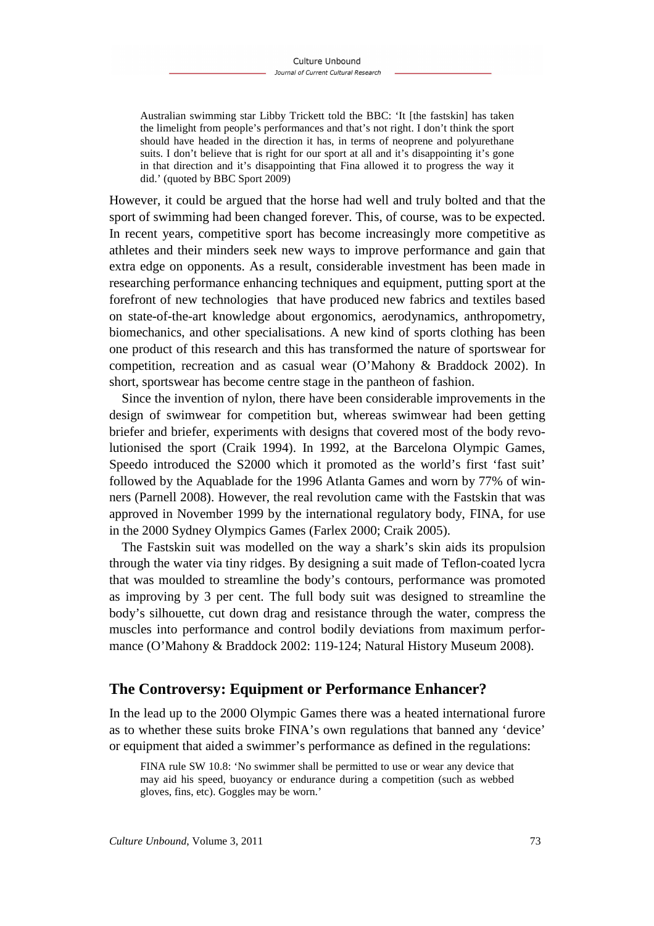Australian swimming star Libby Trickett told the BBC: 'It [the fastskin] has taken the limelight from people's performances and that's not right. I don't think the sport should have headed in the direction it has, in terms of neoprene and polyurethane suits. I don't believe that is right for our sport at all and it's disappointing it's gone in that direction and it's disappointing that Fina allowed it to progress the way it did.' (quoted by BBC Sport 2009)

However, it could be argued that the horse had well and truly bolted and that the sport of swimming had been changed forever. This, of course, was to be expected. In recent years, competitive sport has become increasingly more competitive as athletes and their minders seek new ways to improve performance and gain that extra edge on opponents. As a result, considerable investment has been made in researching performance enhancing techniques and equipment, putting sport at the forefront of new technologies that have produced new fabrics and textiles based on state-of-the-art knowledge about ergonomics, aerodynamics, anthropometry, biomechanics, and other specialisations. A new kind of sports clothing has been one product of this research and this has transformed the nature of sportswear for competition, recreation and as casual wear (O'Mahony & Braddock 2002). In short, sportswear has become centre stage in the pantheon of fashion.

Since the invention of nylon, there have been considerable improvements in the design of swimwear for competition but, whereas swimwear had been getting briefer and briefer, experiments with designs that covered most of the body revolutionised the sport (Craik 1994). In 1992, at the Barcelona Olympic Games, Speedo introduced the S2000 which it promoted as the world's first 'fast suit' followed by the Aquablade for the 1996 Atlanta Games and worn by 77% of winners (Parnell 2008). However, the real revolution came with the Fastskin that was approved in November 1999 by the international regulatory body, FINA, for use in the 2000 Sydney Olympics Games (Farlex 2000; Craik 2005).

The Fastskin suit was modelled on the way a shark's skin aids its propulsion through the water via tiny ridges. By designing a suit made of Teflon-coated lycra that was moulded to streamline the body's contours, performance was promoted as improving by 3 per cent. The full body suit was designed to streamline the body's silhouette, cut down drag and resistance through the water, compress the muscles into performance and control bodily deviations from maximum performance (O'Mahony & Braddock 2002: 119-124; Natural History Museum 2008).

## **The Controversy: Equipment or Performance Enhancer?**

In the lead up to the 2000 Olympic Games there was a heated international furore as to whether these suits broke FINA's own regulations that banned any 'device' or equipment that aided a swimmer's performance as defined in the regulations:

FINA rule SW 10.8: 'No swimmer shall be permitted to use or wear any device that may aid his speed, buoyancy or endurance during a competition (such as webbed gloves, fins, etc). Goggles may be worn.'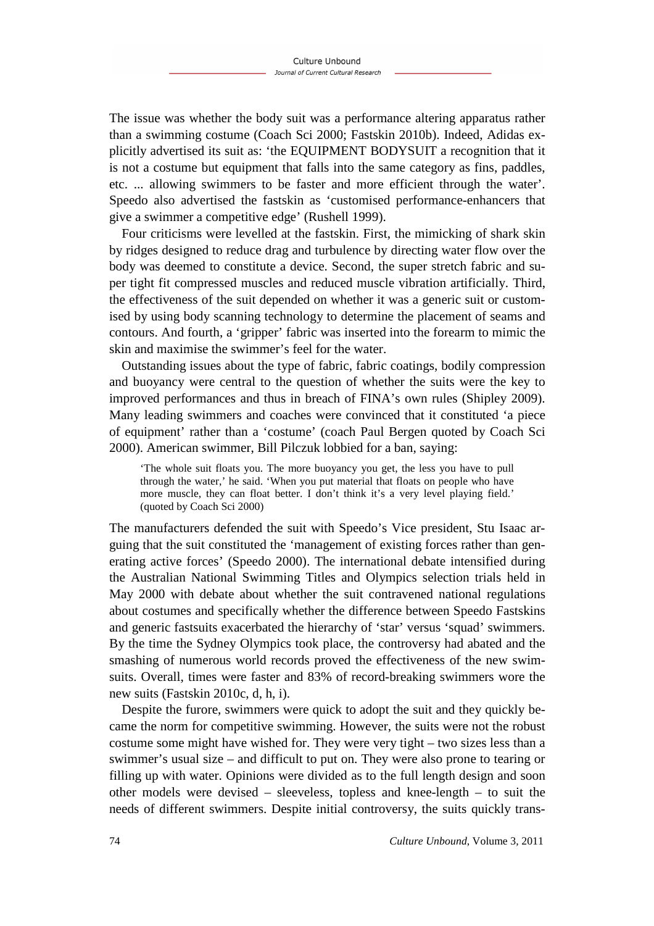The issue was whether the body suit was a performance altering apparatus rather than a swimming costume (Coach Sci 2000; Fastskin 2010b). Indeed, Adidas explicitly advertised its suit as: 'the EQUIPMENT BODYSUIT a recognition that it is not a costume but equipment that falls into the same category as fins, paddles, etc. ... allowing swimmers to be faster and more efficient through the water'. Speedo also advertised the fastskin as 'customised performance-enhancers that give a swimmer a competitive edge' (Rushell 1999).

Four criticisms were levelled at the fastskin. First, the mimicking of shark skin by ridges designed to reduce drag and turbulence by directing water flow over the body was deemed to constitute a device. Second, the super stretch fabric and super tight fit compressed muscles and reduced muscle vibration artificially. Third, the effectiveness of the suit depended on whether it was a generic suit or customised by using body scanning technology to determine the placement of seams and contours. And fourth, a 'gripper' fabric was inserted into the forearm to mimic the skin and maximise the swimmer's feel for the water.

Outstanding issues about the type of fabric, fabric coatings, bodily compression and buoyancy were central to the question of whether the suits were the key to improved performances and thus in breach of FINA's own rules (Shipley 2009). Many leading swimmers and coaches were convinced that it constituted 'a piece of equipment' rather than a 'costume' (coach Paul Bergen quoted by Coach Sci 2000). American swimmer, Bill Pilczuk lobbied for a ban, saying:

'The whole suit floats you. The more buoyancy you get, the less you have to pull through the water,' he said. 'When you put material that floats on people who have more muscle, they can float better. I don't think it's a very level playing field.' (quoted by Coach Sci 2000)

The manufacturers defended the suit with Speedo's Vice president, Stu Isaac arguing that the suit constituted the 'management of existing forces rather than generating active forces' (Speedo 2000). The international debate intensified during the Australian National Swimming Titles and Olympics selection trials held in May 2000 with debate about whether the suit contravened national regulations about costumes and specifically whether the difference between Speedo Fastskins and generic fastsuits exacerbated the hierarchy of 'star' versus 'squad' swimmers. By the time the Sydney Olympics took place, the controversy had abated and the smashing of numerous world records proved the effectiveness of the new swimsuits. Overall, times were faster and 83% of record-breaking swimmers wore the new suits (Fastskin 2010c, d, h, i).

Despite the furore, swimmers were quick to adopt the suit and they quickly became the norm for competitive swimming. However, the suits were not the robust costume some might have wished for. They were very tight – two sizes less than a swimmer's usual size – and difficult to put on. They were also prone to tearing or filling up with water. Opinions were divided as to the full length design and soon other models were devised – sleeveless, topless and knee-length – to suit the needs of different swimmers. Despite initial controversy, the suits quickly trans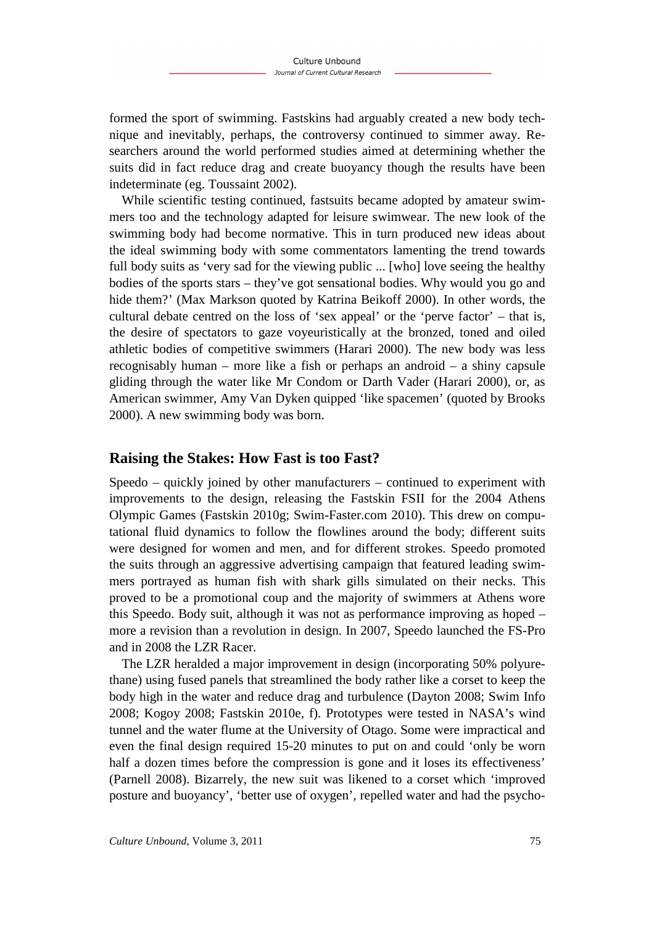formed the sport of swimming. Fastskins had arguably created a new body technique and inevitably, perhaps, the controversy continued to simmer away. Researchers around the world performed studies aimed at determining whether the suits did in fact reduce drag and create buoyancy though the results have been indeterminate (eg. Toussaint 2002).

While scientific testing continued, fastsuits became adopted by amateur swimmers too and the technology adapted for leisure swimwear. The new look of the swimming body had become normative. This in turn produced new ideas about the ideal swimming body with some commentators lamenting the trend towards full body suits as 'very sad for the viewing public ... [who] love seeing the healthy bodies of the sports stars – they've got sensational bodies. Why would you go and hide them?' (Max Markson quoted by Katrina Beikoff 2000). In other words, the cultural debate centred on the loss of 'sex appeal' or the 'perve factor' – that is, the desire of spectators to gaze voyeuristically at the bronzed, toned and oiled athletic bodies of competitive swimmers (Harari 2000). The new body was less recognisably human – more like a fish or perhaps an android – a shiny capsule gliding through the water like Mr Condom or Darth Vader (Harari 2000), or, as American swimmer, Amy Van Dyken quipped 'like spacemen' (quoted by Brooks 2000). A new swimming body was born.

## **Raising the Stakes: How Fast is too Fast?**

Speedo – quickly joined by other manufacturers – continued to experiment with improvements to the design, releasing the Fastskin FSII for the 2004 Athens Olympic Games (Fastskin 2010g; Swim-Faster.com 2010). This drew on computational fluid dynamics to follow the flowlines around the body; different suits were designed for women and men, and for different strokes. Speedo promoted the suits through an aggressive advertising campaign that featured leading swimmers portrayed as human fish with shark gills simulated on their necks. This proved to be a promotional coup and the majority of swimmers at Athens wore this Speedo. Body suit, although it was not as performance improving as hoped – more a revision than a revolution in design. In 2007, Speedo launched the FS-Pro and in 2008 the LZR Racer.

The LZR heralded a major improvement in design (incorporating 50% polyurethane) using fused panels that streamlined the body rather like a corset to keep the body high in the water and reduce drag and turbulence (Dayton 2008; Swim Info 2008; Kogoy 2008; Fastskin 2010e, f). Prototypes were tested in NASA's wind tunnel and the water flume at the University of Otago. Some were impractical and even the final design required 15-20 minutes to put on and could 'only be worn half a dozen times before the compression is gone and it loses its effectiveness' (Parnell 2008). Bizarrely, the new suit was likened to a corset which 'improved posture and buoyancy', 'better use of oxygen', repelled water and had the psycho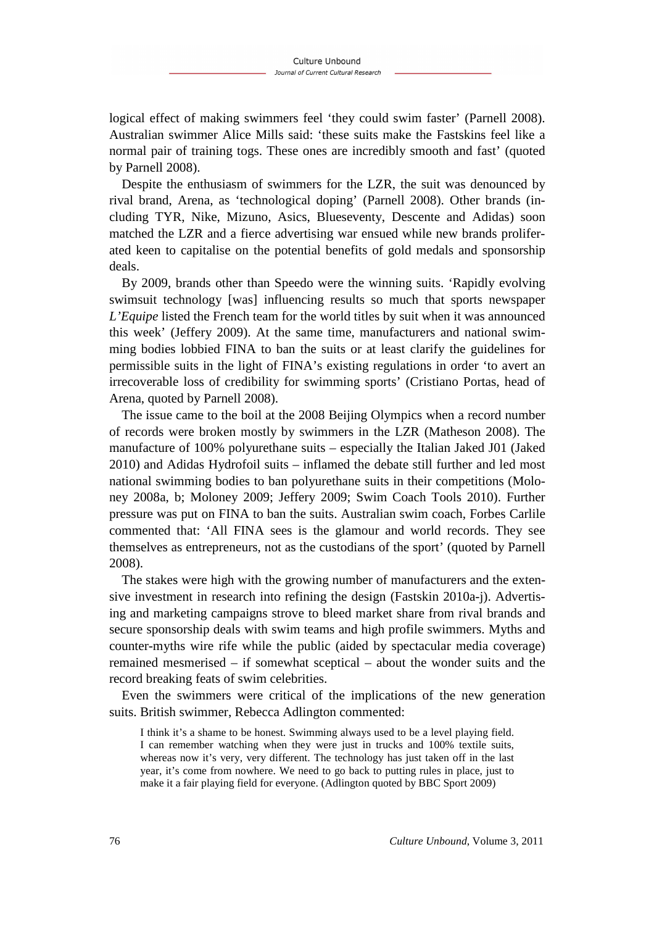logical effect of making swimmers feel 'they could swim faster' (Parnell 2008). Australian swimmer Alice Mills said: 'these suits make the Fastskins feel like a normal pair of training togs. These ones are incredibly smooth and fast' (quoted by Parnell 2008).

Despite the enthusiasm of swimmers for the LZR, the suit was denounced by rival brand, Arena, as 'technological doping' (Parnell 2008). Other brands (including TYR, Nike, Mizuno, Asics, Blueseventy, Descente and Adidas) soon matched the LZR and a fierce advertising war ensued while new brands proliferated keen to capitalise on the potential benefits of gold medals and sponsorship deals.

By 2009, brands other than Speedo were the winning suits. 'Rapidly evolving swimsuit technology [was] influencing results so much that sports newspaper *L'Equipe* listed the French team for the world titles by suit when it was announced this week' (Jeffery 2009). At the same time, manufacturers and national swimming bodies lobbied FINA to ban the suits or at least clarify the guidelines for permissible suits in the light of FINA's existing regulations in order 'to avert an irrecoverable loss of credibility for swimming sports' (Cristiano Portas, head of Arena, quoted by Parnell 2008).

The issue came to the boil at the 2008 Beijing Olympics when a record number of records were broken mostly by swimmers in the LZR (Matheson 2008). The manufacture of 100% polyurethane suits – especially the Italian Jaked J01 (Jaked 2010) and Adidas Hydrofoil suits – inflamed the debate still further and led most national swimming bodies to ban polyurethane suits in their competitions (Moloney 2008a, b; Moloney 2009; Jeffery 2009; Swim Coach Tools 2010). Further pressure was put on FINA to ban the suits. Australian swim coach, Forbes Carlile commented that: 'All FINA sees is the glamour and world records. They see themselves as entrepreneurs, not as the custodians of the sport' (quoted by Parnell 2008).

The stakes were high with the growing number of manufacturers and the extensive investment in research into refining the design (Fastskin 2010a-j). Advertising and marketing campaigns strove to bleed market share from rival brands and secure sponsorship deals with swim teams and high profile swimmers. Myths and counter-myths wire rife while the public (aided by spectacular media coverage) remained mesmerised – if somewhat sceptical – about the wonder suits and the record breaking feats of swim celebrities.

Even the swimmers were critical of the implications of the new generation suits. British swimmer, Rebecca Adlington commented:

I think it's a shame to be honest. Swimming always used to be a level playing field. I can remember watching when they were just in trucks and 100% textile suits, whereas now it's very, very different. The technology has just taken off in the last year, it's come from nowhere. We need to go back to putting rules in place, just to make it a fair playing field for everyone. (Adlington quoted by BBC Sport 2009)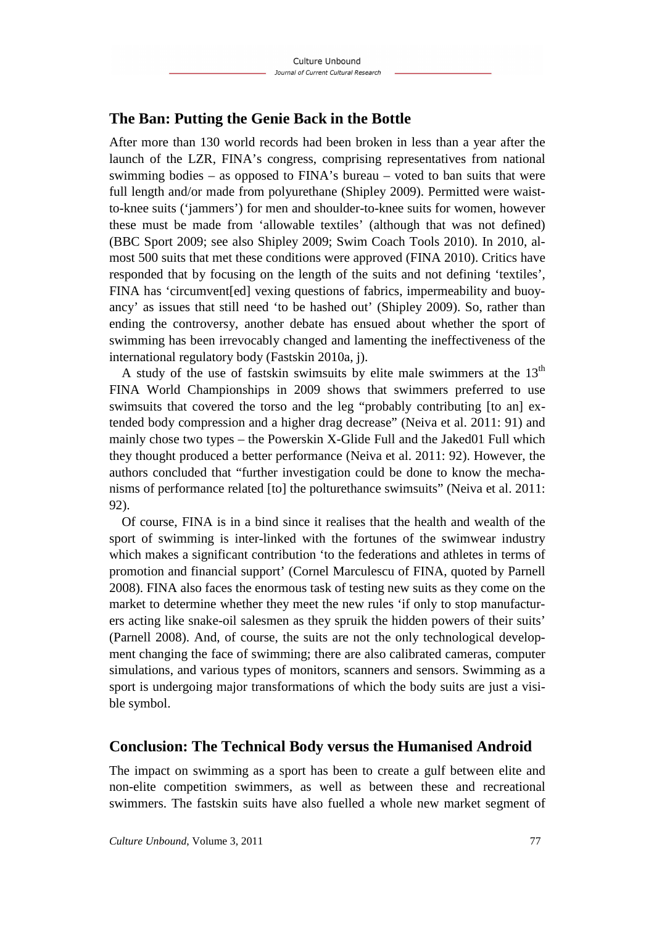## **The Ban: Putting the Genie Back in the Bottle**

After more than 130 world records had been broken in less than a year after the launch of the LZR, FINA's congress, comprising representatives from national swimming bodies – as opposed to FINA's bureau – voted to ban suits that were full length and/or made from polyurethane (Shipley 2009). Permitted were waistto-knee suits ('jammers') for men and shoulder-to-knee suits for women, however these must be made from 'allowable textiles' (although that was not defined) (BBC Sport 2009; see also Shipley 2009; Swim Coach Tools 2010). In 2010, almost 500 suits that met these conditions were approved (FINA 2010). Critics have responded that by focusing on the length of the suits and not defining 'textiles', FINA has 'circumvent[ed] vexing questions of fabrics, impermeability and buoyancy' as issues that still need 'to be hashed out' (Shipley 2009). So, rather than ending the controversy, another debate has ensued about whether the sport of swimming has been irrevocably changed and lamenting the ineffectiveness of the international regulatory body (Fastskin 2010a, j).

A study of the use of fastskin swimsuits by elite male swimmers at the  $13<sup>th</sup>$ FINA World Championships in 2009 shows that swimmers preferred to use swimsuits that covered the torso and the leg "probably contributing [to an] extended body compression and a higher drag decrease" (Neiva et al. 2011: 91) and mainly chose two types – the Powerskin X-Glide Full and the Jaked01 Full which they thought produced a better performance (Neiva et al. 2011: 92). However, the authors concluded that "further investigation could be done to know the mechanisms of performance related [to] the polturethance swimsuits" (Neiva et al. 2011: 92).

Of course, FINA is in a bind since it realises that the health and wealth of the sport of swimming is inter-linked with the fortunes of the swimwear industry which makes a significant contribution 'to the federations and athletes in terms of promotion and financial support' (Cornel Marculescu of FINA, quoted by Parnell 2008). FINA also faces the enormous task of testing new suits as they come on the market to determine whether they meet the new rules 'if only to stop manufacturers acting like snake-oil salesmen as they spruik the hidden powers of their suits' (Parnell 2008). And, of course, the suits are not the only technological development changing the face of swimming; there are also calibrated cameras, computer simulations, and various types of monitors, scanners and sensors. Swimming as a sport is undergoing major transformations of which the body suits are just a visible symbol.

## **Conclusion: The Technical Body versus the Humanised Android**

The impact on swimming as a sport has been to create a gulf between elite and non-elite competition swimmers, as well as between these and recreational swimmers. The fastskin suits have also fuelled a whole new market segment of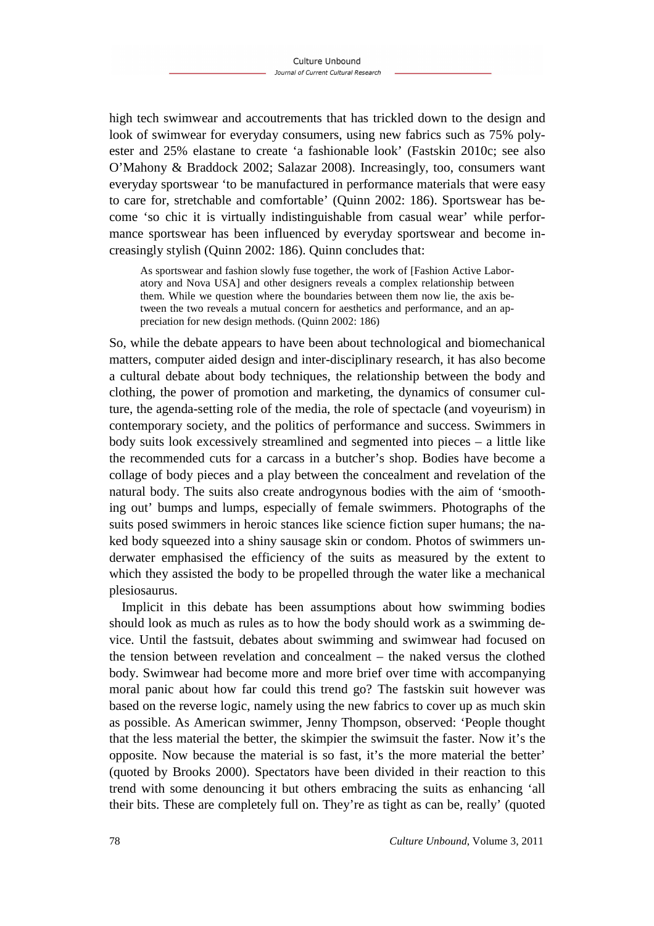high tech swimwear and accoutrements that has trickled down to the design and look of swimwear for everyday consumers, using new fabrics such as 75% polyester and 25% elastane to create 'a fashionable look' (Fastskin 2010c; see also O'Mahony & Braddock 2002; Salazar 2008). Increasingly, too, consumers want everyday sportswear 'to be manufactured in performance materials that were easy to care for, stretchable and comfortable' (Quinn 2002: 186). Sportswear has become 'so chic it is virtually indistinguishable from casual wear' while performance sportswear has been influenced by everyday sportswear and become increasingly stylish (Quinn 2002: 186). Quinn concludes that:

As sportswear and fashion slowly fuse together, the work of [Fashion Active Laboratory and Nova USA] and other designers reveals a complex relationship between them. While we question where the boundaries between them now lie, the axis between the two reveals a mutual concern for aesthetics and performance, and an appreciation for new design methods. (Quinn 2002: 186)

So, while the debate appears to have been about technological and biomechanical matters, computer aided design and inter-disciplinary research, it has also become a cultural debate about body techniques, the relationship between the body and clothing, the power of promotion and marketing, the dynamics of consumer culture, the agenda-setting role of the media, the role of spectacle (and voyeurism) in contemporary society, and the politics of performance and success. Swimmers in body suits look excessively streamlined and segmented into pieces – a little like the recommended cuts for a carcass in a butcher's shop. Bodies have become a collage of body pieces and a play between the concealment and revelation of the natural body. The suits also create androgynous bodies with the aim of 'smoothing out' bumps and lumps, especially of female swimmers. Photographs of the suits posed swimmers in heroic stances like science fiction super humans; the naked body squeezed into a shiny sausage skin or condom. Photos of swimmers underwater emphasised the efficiency of the suits as measured by the extent to which they assisted the body to be propelled through the water like a mechanical plesiosaurus.

Implicit in this debate has been assumptions about how swimming bodies should look as much as rules as to how the body should work as a swimming device. Until the fastsuit, debates about swimming and swimwear had focused on the tension between revelation and concealment – the naked versus the clothed body. Swimwear had become more and more brief over time with accompanying moral panic about how far could this trend go? The fastskin suit however was based on the reverse logic, namely using the new fabrics to cover up as much skin as possible. As American swimmer, Jenny Thompson, observed: 'People thought that the less material the better, the skimpier the swimsuit the faster. Now it's the opposite. Now because the material is so fast, it's the more material the better' (quoted by Brooks 2000). Spectators have been divided in their reaction to this trend with some denouncing it but others embracing the suits as enhancing 'all their bits. These are completely full on. They're as tight as can be, really' (quoted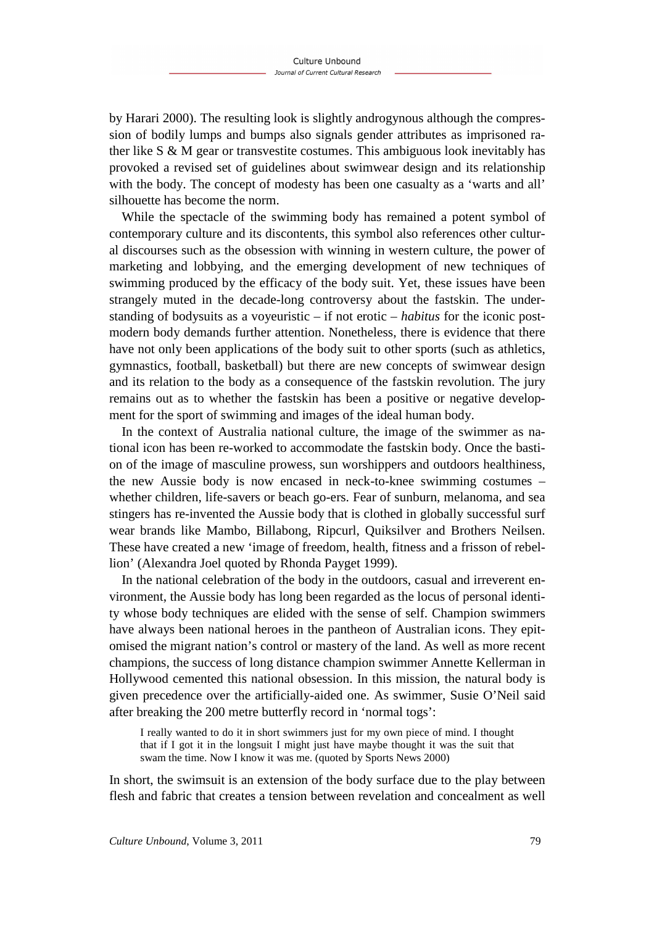by Harari 2000). The resulting look is slightly androgynous although the compression of bodily lumps and bumps also signals gender attributes as imprisoned rather like S & M gear or transvestite costumes. This ambiguous look inevitably has provoked a revised set of guidelines about swimwear design and its relationship with the body. The concept of modesty has been one casualty as a 'warts and all' silhouette has become the norm.

While the spectacle of the swimming body has remained a potent symbol of contemporary culture and its discontents, this symbol also references other cultural discourses such as the obsession with winning in western culture, the power of marketing and lobbying, and the emerging development of new techniques of swimming produced by the efficacy of the body suit. Yet, these issues have been strangely muted in the decade-long controversy about the fastskin. The understanding of bodysuits as a voyeuristic – if not erotic – *habitus* for the iconic postmodern body demands further attention. Nonetheless, there is evidence that there have not only been applications of the body suit to other sports (such as athletics, gymnastics, football, basketball) but there are new concepts of swimwear design and its relation to the body as a consequence of the fastskin revolution. The jury remains out as to whether the fastskin has been a positive or negative development for the sport of swimming and images of the ideal human body.

In the context of Australia national culture, the image of the swimmer as national icon has been re-worked to accommodate the fastskin body. Once the bastion of the image of masculine prowess, sun worshippers and outdoors healthiness, the new Aussie body is now encased in neck-to-knee swimming costumes – whether children, life-savers or beach go-ers. Fear of sunburn, melanoma, and sea stingers has re-invented the Aussie body that is clothed in globally successful surf wear brands like Mambo, Billabong, Ripcurl, Quiksilver and Brothers Neilsen. These have created a new 'image of freedom, health, fitness and a frisson of rebellion' (Alexandra Joel quoted by Rhonda Payget 1999).

In the national celebration of the body in the outdoors, casual and irreverent environment, the Aussie body has long been regarded as the locus of personal identity whose body techniques are elided with the sense of self. Champion swimmers have always been national heroes in the pantheon of Australian icons. They epitomised the migrant nation's control or mastery of the land. As well as more recent champions, the success of long distance champion swimmer Annette Kellerman in Hollywood cemented this national obsession. In this mission, the natural body is given precedence over the artificially-aided one. As swimmer, Susie O'Neil said after breaking the 200 metre butterfly record in 'normal togs':

I really wanted to do it in short swimmers just for my own piece of mind. I thought that if I got it in the longsuit I might just have maybe thought it was the suit that swam the time. Now I know it was me. (quoted by Sports News 2000)

In short, the swimsuit is an extension of the body surface due to the play between flesh and fabric that creates a tension between revelation and concealment as well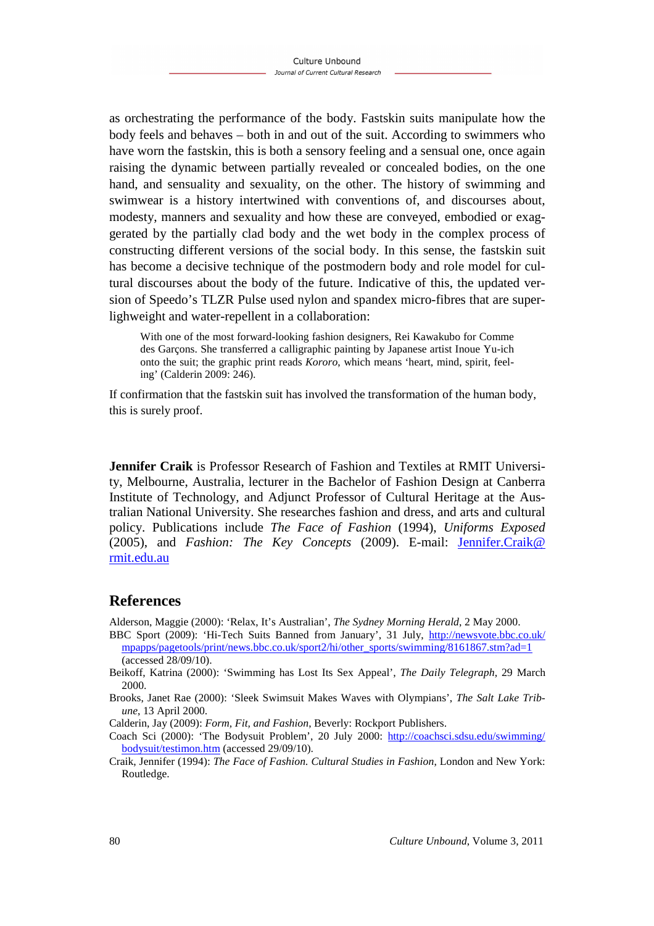as orchestrating the performance of the body. Fastskin suits manipulate how the body feels and behaves – both in and out of the suit. According to swimmers who have worn the fastskin, this is both a sensory feeling and a sensual one, once again raising the dynamic between partially revealed or concealed bodies, on the one hand, and sensuality and sexuality, on the other. The history of swimming and swimwear is a history intertwined with conventions of, and discourses about, modesty, manners and sexuality and how these are conveyed, embodied or exaggerated by the partially clad body and the wet body in the complex process of constructing different versions of the social body. In this sense, the fastskin suit has become a decisive technique of the postmodern body and role model for cultural discourses about the body of the future. Indicative of this, the updated version of Speedo's TLZR Pulse used nylon and spandex micro-fibres that are superlighweight and water-repellent in a collaboration:

With one of the most forward-looking fashion designers, Rei Kawakubo for Comme des Garçons. She transferred a calligraphic painting by Japanese artist Inoue Yu-ich onto the suit; the graphic print reads *Kororo*, which means 'heart, mind, spirit, feeling' (Calderin 2009: 246).

If confirmation that the fastskin suit has involved the transformation of the human body, this is surely proof.

**Jennifer Craik** is Professor Research of Fashion and Textiles at RMIT University, Melbourne, Australia, lecturer in the Bachelor of Fashion Design at Canberra Institute of Technology, and Adjunct Professor of Cultural Heritage at the Australian National University. She researches fashion and dress, and arts and cultural policy. Publications include *The Face of Fashion* (1994), *Uniforms Exposed* (2005), and *Fashion: The Key Concepts* (2009). E-mail: Jennifer.Craik@ rmit.edu.au

## **References**

Alderson, Maggie (2000): 'Relax, It's Australian', *The Sydney Morning Herald*, 2 May 2000.

- BBC Sport (2009): 'Hi-Tech Suits Banned from January', 31 July, http://newsvote.bbc.co.uk/ mpapps/pagetools/print/news.bbc.co.uk/sport2/hi/other\_sports/swimming/8161867.stm?ad=1 (accessed 28/09/10).
- Beikoff, Katrina (2000): 'Swimming has Lost Its Sex Appeal', *The Daily Telegraph*, 29 March 2000.
- Brooks, Janet Rae (2000): 'Sleek Swimsuit Makes Waves with Olympians', *The Salt Lake Tribune*, 13 April 2000.
- Calderin, Jay (2009): *Form, Fit, and Fashion*, Beverly: Rockport Publishers.
- Coach Sci (2000): 'The Bodysuit Problem', 20 July 2000: http://coachsci.sdsu.edu/swimming/ bodysuit/testimon.htm (accessed 29/09/10).
- Craik, Jennifer (1994): *The Face of Fashion. Cultural Studies in Fashion*, London and New York: Routledge.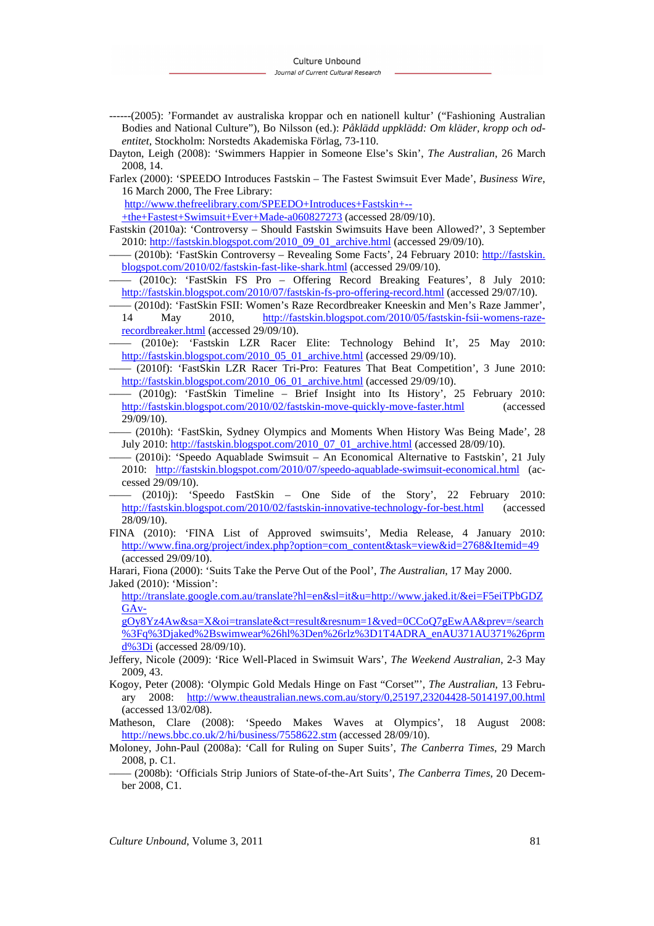- ------(2005): 'Formandet av australiska kroppar och en nationell kultur' ("Fashioning Australian Bodies and National Culture"), Bo Nilsson (ed.): *Påklädd uppklädd: Om kläder, kropp och odentitet*, Stockholm: Norstedts Akademiska Förlag, 73-110.
- Dayton, Leigh (2008): 'Swimmers Happier in Someone Else's Skin', *The Australian*, 26 March 2008, 14.
- Farlex (2000): 'SPEEDO Introduces Fastskin The Fastest Swimsuit Ever Made', *Business Wire*, 16 March 2000, The Free Library:

http://www.thefreelibrary.com/SPEEDO+Introduces+Fastskin+--

+the+Fastest+Swimsuit+Ever+Made-a060827273 (accessed 28/09/10).

- Fastskin (2010a): 'Controversy Should Fastskin Swimsuits Have been Allowed?', 3 September 2010: http://fastskin.blogspot.com/2010\_09\_01\_archive.html (accessed 29/09/10).
- –––– (2010b): 'FastSkin Controversy Revealing Some Facts', 24 February 2010: http://fastskin. blogspot.com/2010/02/fastskin-fast-like-shark.html (accessed 29/09/10).
- –––– (2010c): 'FastSkin FS Pro Offering Record Breaking Features', 8 July 2010: http://fastskin.blogspot.com/2010/07/fastskin-fs-pro-offering-record.html (accessed 29/07/10).
- –––– (2010d): 'FastSkin FSII: Women's Raze Recordbreaker Kneeskin and Men's Raze Jammer',
- 14 May 2010, http://fastskin.blogspot.com/2010/05/fastskin-fsii-womens-razerecordbreaker.html (accessed 29/09/10).
- –––– (2010e): 'Fastskin LZR Racer Elite: Technology Behind It', 25 May 2010: http://fastskin.blogspot.com/2010\_05\_01\_archive.html (accessed 29/09/10).
- –––– (2010f): 'FastSkin LZR Racer Tri-Pro: Features That Beat Competition', 3 June 2010: http://fastskin.blogspot.com/2010\_06\_01\_archive.html (accessed 29/09/10).
- –––– (2010g): 'FastSkin Timeline Brief Insight into Its History', 25 February 2010: http://fastskin.blogspot.com/2010/02/fastskin-move-quickly-move-faster.html (accessed 29/09/10).
- –––– (2010h): 'FastSkin, Sydney Olympics and Moments When History Was Being Made', 28 July 2010: http://fastskin.blogspot.com/2010\_07\_01\_archive.html (accessed 28/09/10).
- –––– (2010i): 'Speedo Aquablade Swimsuit An Economical Alternative to Fastskin', 21 July 2010: http://fastskin.blogspot.com/2010/07/speedo-aquablade-swimsuit-economical.html (accessed 29/09/10).
- –––– (2010j): 'Speedo FastSkin One Side of the Story', 22 February 2010: http://fastskin.blogspot.com/2010/02/fastskin-innovative-technology-for-best.html (accessed 28/09/10).
- FINA (2010): 'FINA List of Approved swimsuits', Media Release, 4 January 2010: http://www.fina.org/project/index.php?option=com\_content&task=view&id=2768&Itemid=49 (accessed 29/09/10).
- Harari, Fiona (2000): 'Suits Take the Perve Out of the Pool', *The Australian*, 17 May 2000. Jaked (2010): 'Mission':

http://translate.google.com.au/translate?hl=en&sl=it&u=http://www.jaked.it/&ei=F5eiTPbGDZ GAv-

gOy8Yz4Aw&sa=X&oi=translate&ct=result&resnum=1&ved=0CCoQ7gEwAA&prev=/search %3Fq%3Djaked%2Bswimwear%26hl%3Den%26rlz%3D1T4ADRA\_enAU371AU371%26prm d%3Di (accessed 28/09/10).

- Jeffery, Nicole (2009): 'Rice Well-Placed in Swimsuit Wars', *The Weekend Australian*, 2-3 May 2009, 43.
- Kogoy, Peter (2008): 'Olympic Gold Medals Hinge on Fast "Corset"', *The Australian*, 13 February 2008: http://www.theaustralian.news.com.au/story/0,25197,23204428-5014197,00.html (accessed 13/02/08).
- Matheson, Clare (2008): 'Speedo Makes Waves at Olympics', 18 August 2008: http://news.bbc.co.uk/2/hi/business/7558622.stm (accessed 28/09/10).
- Moloney, John-Paul (2008a): 'Call for Ruling on Super Suits', *The Canberra Times*, 29 March 2008, p. C1.
- –––– (2008b): 'Officials Strip Juniors of State-of-the-Art Suits', *The Canberra Times*, 20 December 2008, C1.